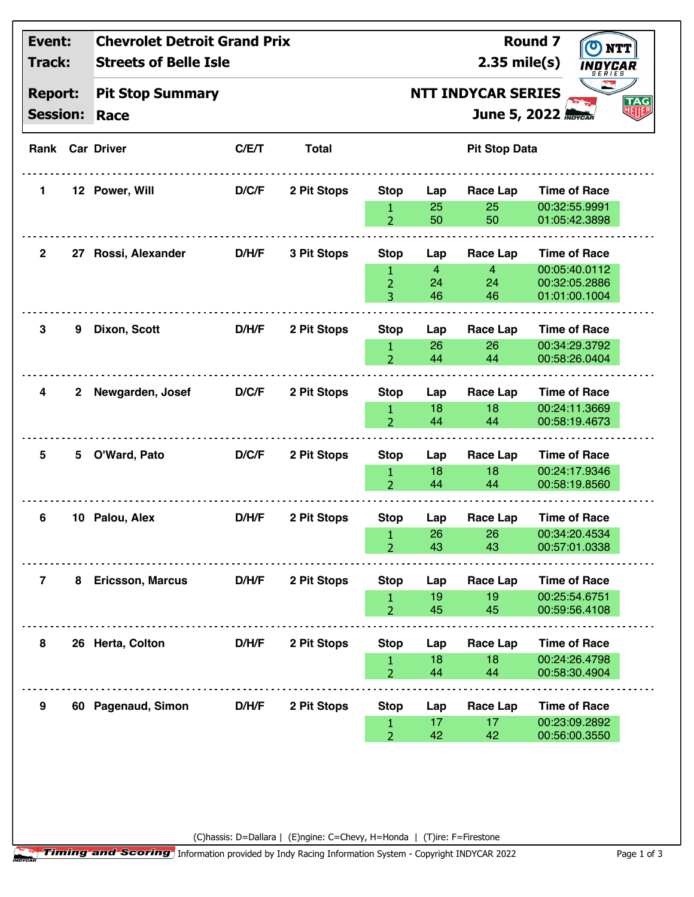| Event:<br>Track:<br><b>Report:</b><br><b>Session:</b> |              | <b>Chevrolet Detroit Grand Prix</b><br><b>Streets of Belle Isle</b> |       |              |                                                                                    |                                   | $2.35$ mile(s)                         | <b>Round 7</b><br>INDYCAR<br>SERIES                                    |  |  |
|-------------------------------------------------------|--------------|---------------------------------------------------------------------|-------|--------------|------------------------------------------------------------------------------------|-----------------------------------|----------------------------------------|------------------------------------------------------------------------|--|--|
|                                                       |              | <b>Pit Stop Summary</b><br>Race                                     |       |              | <b>NTT INDYCAR SERIES</b><br><b>TAG</b><br>제까<br>June 5, 2022 <b><i>Revear</i></b> |                                   |                                        |                                                                        |  |  |
|                                                       |              | <b>Rank Car Driver</b>                                              | C/E/T | <b>Total</b> | <b>Pit Stop Data</b>                                                               |                                   |                                        |                                                                        |  |  |
| 1.                                                    |              | 12 Power, Will                                                      | D/C/F | 2 Pit Stops  | <b>Stop</b><br>$\mathbf{1}$<br>$\overline{2}$                                      | Lap<br>25<br>50                   | <b>Race Lap</b><br>25<br>50            | <b>Time of Race</b><br>00:32:55.9991<br>01:05:42.3898                  |  |  |
| $\mathbf{2}$                                          |              | 27 Rossi, Alexander                                                 | D/H/F | 3 Pit Stops  | <b>Stop</b><br>$\mathbf{1}$<br>$\overline{2}$<br>3                                 | Lap<br>$\overline{4}$<br>24<br>46 | Race Lap<br>$\overline{4}$<br>24<br>46 | <b>Time of Race</b><br>00:05:40.0112<br>00:32:05.2886<br>01:01:00.1004 |  |  |
| 3                                                     | 9            | Dixon, Scott                                                        | D/H/F | 2 Pit Stops  | <b>Stop</b><br>1<br>$\overline{2}$                                                 | Lap<br>26<br>44                   | Race Lap<br>26<br>44                   | <b>Time of Race</b><br>00:34:29.3792<br>00:58:26.0404                  |  |  |
| 4                                                     | $\mathbf{2}$ | Newgarden, Josef                                                    | D/C/F | 2 Pit Stops  | <b>Stop</b><br>$\mathbf{1}$<br>$\overline{2}$                                      | Lap<br>18<br>44                   | Race Lap<br>18<br>44                   | <b>Time of Race</b><br>00:24:11.3669<br>00:58:19.4673                  |  |  |
| 5                                                     | 5            | O'Ward, Pato                                                        | D/C/F | 2 Pit Stops  | <b>Stop</b><br>$\mathbf{1}$<br>$\overline{2}$                                      | Lap<br>18<br>44                   | <b>Race Lap</b><br>18<br>44            | <b>Time of Race</b><br>00:24:17.9346<br>00:58:19.8560                  |  |  |
| 6                                                     |              | 10 Palou, Alex                                                      | D/H/F | 2 Pit Stops  | <b>Stop</b><br>$1 -$<br>$\overline{2}$                                             | Lap<br>26<br>43                   | <b>Race Lap</b><br>$26 - 1$<br>43      | <b>Time of Race</b><br>00:34:20.4534<br>00:57:01.0338                  |  |  |
| $\overline{7}$                                        |              | 8 Ericsson, Marcus                                                  | D/H/F | 2 Pit Stops  | <b>Stop</b><br>1<br>$\overline{2}$                                                 | Lap<br>19<br>45                   | <b>Race Lap</b><br>19<br>45            | <b>Time of Race</b><br>00:25:54.6751<br>00:59:56.4108                  |  |  |
| 8                                                     |              | 26 Herta, Colton                                                    | D/H/F | 2 Pit Stops  | <b>Stop</b><br>$\mathbf{1}$<br>$\overline{2}$                                      | Lap<br>18<br>44                   | Race Lap<br>18<br>44                   | <b>Time of Race</b><br>00:24:26.4798<br>00:58:30.4904                  |  |  |
| 9                                                     |              | 60 Pagenaud, Simon                                                  | D/H/F | 2 Pit Stops  | <b>Stop</b><br>1<br>$\overline{2}$                                                 | Lap<br>17<br>42                   | <b>Race Lap</b><br>17<br>42            | <b>Time of Race</b><br>00:23:09.2892<br>00:56:00.3550                  |  |  |

(C)hassis: D=Dallara | (E)ngine: C=Chevy, H=Honda | (T)ire: F=Firestone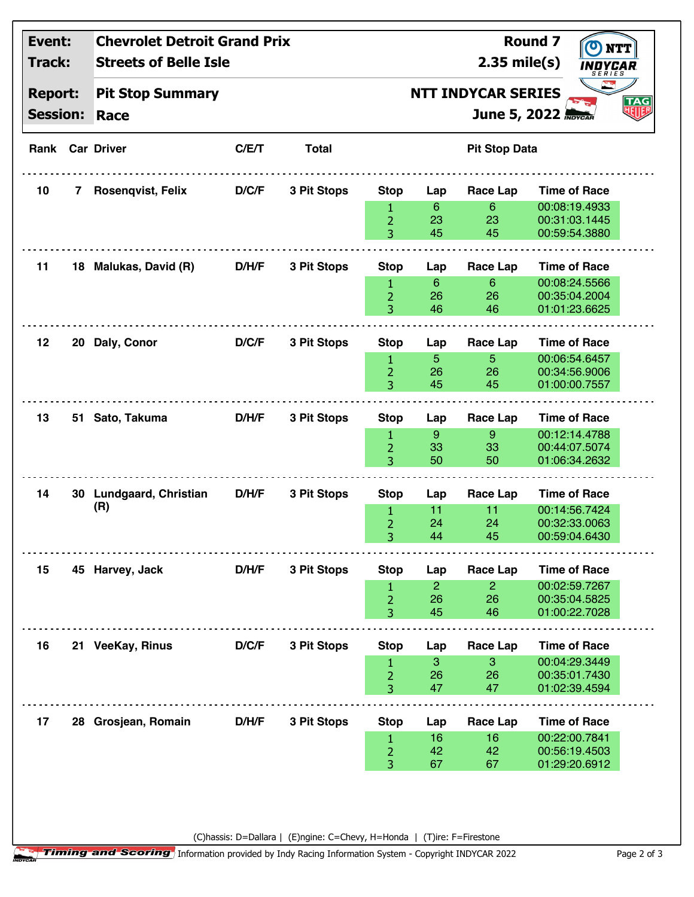| Event:<br>Track:<br><b>Report:</b><br><b>Session:</b> |              | <b>Chevrolet Detroit Grand Prix</b><br><b>Streets of Belle Isle</b> |       |              |                                                                                                   |                            | $2.35$ mile(s)             | <b>Round 7</b><br><b>NTT</b><br><i><b>INDYCAR</b></i><br><b>SERIES</b> |  |  |  |
|-------------------------------------------------------|--------------|---------------------------------------------------------------------|-------|--------------|---------------------------------------------------------------------------------------------------|----------------------------|----------------------------|------------------------------------------------------------------------|--|--|--|
|                                                       |              | <b>Pit Stop Summary</b><br>Race                                     |       |              | <b>Part</b><br><b>NTT INDYCAR SERIES</b><br>TAG<br>地 <mark>脚</mark><br>June 5, 2022 <b>Movcan</b> |                            |                            |                                                                        |  |  |  |
|                                                       |              | <b>Rank Car Driver</b>                                              | C/E/T | <b>Total</b> | <b>Pit Stop Data</b>                                                                              |                            |                            |                                                                        |  |  |  |
| 10                                                    | $\mathbf{7}$ | Rosenqvist, Felix                                                   | D/C/F | 3 Pit Stops  | <b>Stop</b>                                                                                       | Lap                        | Race Lap                   | <b>Time of Race</b>                                                    |  |  |  |
|                                                       |              |                                                                     |       |              | $\mathbf{1}$<br>$\overline{2}$<br>3                                                               | $6^{\circ}$<br>23<br>45    | $6\phantom{1}$<br>23<br>45 | 00:08:19.4933<br>00:31:03.1445<br>00:59:54.3880                        |  |  |  |
| 11                                                    |              | 18 Malukas, David (R)                                               | D/H/F | 3 Pit Stops  | <b>Stop</b>                                                                                       | Lap                        | <b>Race Lap</b>            | <b>Time of Race</b>                                                    |  |  |  |
|                                                       |              |                                                                     |       |              | 1<br>$\overline{2}$<br>3                                                                          | 6<br>26<br>46              | $6\phantom{1}$<br>26<br>46 | 00:08:24.5566<br>00:35:04.2004<br>01:01:23.6625                        |  |  |  |
| 12                                                    |              | 20 Daly, Conor                                                      | D/C/F | 3 Pit Stops  | <b>Stop</b>                                                                                       | Lap                        | Race Lap                   | <b>Time of Race</b>                                                    |  |  |  |
|                                                       |              |                                                                     |       |              | 1<br>$\overline{2}$<br>3                                                                          | 5.<br>26<br>45             | 5<br>26<br>45              | 00:06:54.6457<br>00:34:56.9006<br>01:00:00.7557                        |  |  |  |
| 13                                                    |              | 51 Sato, Takuma                                                     | D/H/F | 3 Pit Stops  | <b>Stop</b>                                                                                       | Lap                        | <b>Race Lap</b>            | <b>Time of Race</b>                                                    |  |  |  |
|                                                       |              |                                                                     |       |              | 1<br>2<br>3                                                                                       | 9 <sup>°</sup><br>33<br>50 | 9<br>33<br>50              | 00:12:14.4788<br>00:44:07.5074<br>01:06:34.2632                        |  |  |  |
| 14                                                    |              | 30 Lundgaard, Christian                                             | D/H/F | 3 Pit Stops  | <b>Stop</b>                                                                                       | Lap                        | Race Lap                   | <b>Time of Race</b>                                                    |  |  |  |
|                                                       |              | (R)                                                                 |       |              | 1<br>$\overline{2}$<br>3                                                                          | 11<br>24<br>44             | 11<br>24<br>45             | 00:14:56.7424<br>00:32:33.0063<br>00:59:04.6430                        |  |  |  |
| 15                                                    |              | 45 Harvey, Jack                                                     | D/H/F | 3 Pit Stops  | <b>Stop</b>                                                                                       | Lap                        | Race Lap                   | <b>Time of Race</b>                                                    |  |  |  |
|                                                       |              |                                                                     |       |              | $\mathbf{1}$<br>$\overline{2}$<br>3                                                               | $\overline{2}$<br>26<br>45 | $\overline{2}$<br>26<br>46 | 00:02:59.7267<br>00:35:04.5825<br>01:00:22.7028                        |  |  |  |
| 16                                                    |              | 21 VeeKay, Rinus                                                    | D/C/F | 3 Pit Stops  | <b>Stop</b>                                                                                       | Lap                        | Race Lap                   | <b>Time of Race</b>                                                    |  |  |  |
|                                                       |              |                                                                     |       |              | $\mathbf{1}$<br>$\overline{2}$<br>3                                                               | 3<br>26<br>47              | 3<br>26<br>47              | 00:04:29.3449<br>00:35:01.7430<br>01:02:39.4594                        |  |  |  |
| 17                                                    |              | 28 Grosjean, Romain                                                 | D/H/F | 3 Pit Stops  | <b>Stop</b>                                                                                       | Lap                        | Race Lap                   | <b>Time of Race</b>                                                    |  |  |  |
|                                                       |              |                                                                     |       |              | $\mathbf{1}$<br>2<br>3                                                                            | 16<br>42<br>67             | 16<br>42<br>67             | 00:22:00.7841<br>00:56:19.4503<br>01:29:20.6912                        |  |  |  |

(C)hassis: D=Dallara | (E)ngine: C=Chevy, H=Honda | (T)ire: F=Firestone